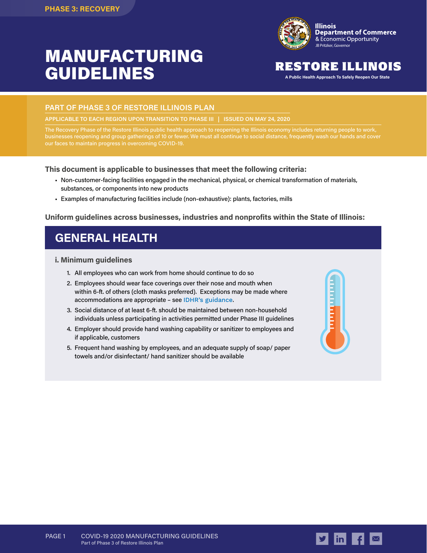# MANUFACTURING GUIDELINES



# RESTORE ILLINOIS

**A Public Health Approach To Safely Reopen Our State**

# **PART OF PHASE 3 OF RESTORE ILLINOIS PLAN**

**APPLICABLE TO EACH REGION UPON TRANSITION TO PHASE III | ISSUED ON MAY 24, 2020**

The Recovery Phase of the Restore Illinois public health approach to reopening the Illinois economy includes returning people to work, businesses reopening and group gatherings of 10 or fewer. We must all continue to social distance, frequently wash our hands and cover our faces to maintain progress in overcoming COVID-19.

**This document is applicable to businesses that meet the following criteria:**

- Non-customer-facing facilities engaged in the mechanical, physical, or chemical transformation of materials, substances, or components into new products
- Examples of manufacturing facilities include (non-exhaustive): plants, factories, mills

### **Uniform guidelines across businesses, industries and nonprofits within the State of Illinois:**

# **GENERAL HEALTH**

#### **i. Minimum guidelines**

- 1. All employees who can work from home should continue to do so
- 2. Employees should wear face coverings over their nose and mouth when within 6-ft. of others (cloth masks preferred). Exceptions may be made where accommodations are appropriate – see [IDHR's guidance](https://www2.illinois.gov/dhr/Documents/IDHR_FAQ_for_Businesses_Concerning_Use_of_Face-Coverings_During_COVID-19_Ver_2020511b%20copy.pdf).
- 3. Social distance of at least 6-ft. should be maintained between non-household individuals unless participating in activities permitted under Phase III guidelines
- 4. Employer should provide hand washing capability or sanitizer to employees and if applicable, customers
- 5. Frequent hand washing by employees, and an adequate supply of soap/ paper towels and/or disinfectant/ hand sanitizer should be available



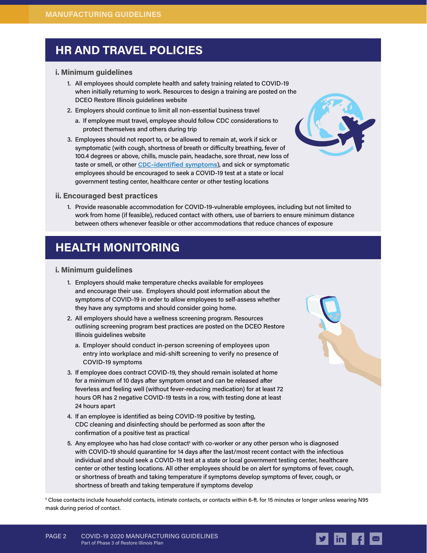# **HR AND TRAVEL POLICIES**

### **i. Minimum guidelines**

- 1. All employees should complete health and safety training related to COVID-19 when initially returning to work. Resources to design a training are posted on the DCEO Restore Illinois guidelines website
- 2. Employers should continue to limit all non-essential business travel
	- a. If employee must travel, employee should follow CDC considerations to protect themselves and others during trip
- 3. Employees should not report to, or be allowed to remain at, work if sick or symptomatic (with cough, shortness of breath or difficulty breathing, fever of 100.4 degrees or above, chills, muscle pain, headache, sore throat, new loss of taste or smell, or other [CDC-identified symptoms](https://www.cdc.gov/coronavirus/2019-ncov/symptoms-testing/symptoms.html)), and sick or symptomatic employees should be encouraged to seek a COVID-19 test at a state or local government testing center, healthcare center or other testing locations



### **ii. Encouraged best practices**

1. Provide reasonable accommodation for COVID-19-vulnerable employees, including but not limited to work from home (if feasible), reduced contact with others, use of barriers to ensure minimum distance between others whenever feasible or other accommodations that reduce chances of exposure

# **HEALTH MONITORING**

# **i. Minimum guidelines**

- 1. Employers should make temperature checks available for employees and encourage their use. Employers should post information about the symptoms of COVID-19 in order to allow employees to self-assess whether they have any symptoms and should consider going home.
- 2. All employers should have a wellness screening program. Resources outlining screening program best practices are posted on the DCEO Restore Illinois guidelines website
	- a. Employer should conduct in-person screening of employees upon entry into workplace and mid-shift screening to verify no presence of COVID-19 symptoms
- 3. If employee does contract COVID-19, they should remain isolated at home for a minimum of 10 days after symptom onset and can be released after feverless and feeling well (without fever-reducing medication) for at least 72 hours OR has 2 negative COVID-19 tests in a row, with testing done at least 24 hours apart
- 4. If an employee is identified as being COVID-19 positive by testing, CDC cleaning and disinfecting should be performed as soon after the confirmation of a positive test as practical
- 5. Any employee who has had close contact<sup>1</sup> with co-worker or any other person who is diagnosed with COVID-19 should quarantine for 14 days after the last/most recent contact with the infectious individual and should seek a COVID-19 test at a state or local government testing center, healthcare center or other testing locations. All other employees should be on alert for symptoms of fever, cough, or shortness of breath and taking temperature if symptoms develop symptoms of fever, cough, or shortness of breath and taking temperature if symptoms develop

**1** Close contacts include household contacts, intimate contacts, or contacts within 6-ft. for 15 minutes or longer unless wearing N95 mask during period of contact.

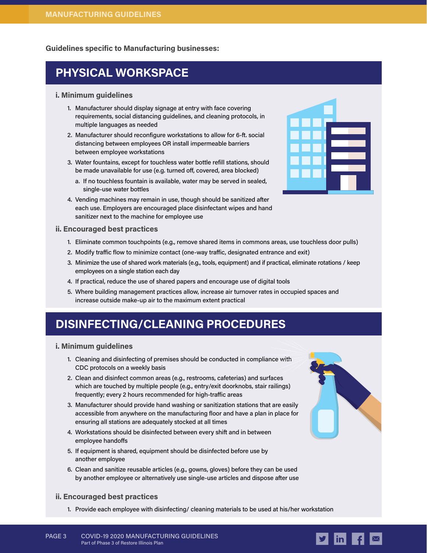**Guidelines specific to Manufacturing businesses:**

# **PHYSICAL WORKSPACE**

### **i. Minimum guidelines**

- 1. Manufacturer should display signage at entry with face covering requirements, social distancing guidelines, and cleaning protocols, in multiple languages as needed
- 2. Manufacturer should reconfigure workstations to allow for 6-ft. social distancing between employees OR install impermeable barriers between employee workstations
- 3. Water fountains, except for touchless water bottle refill stations, should be made unavailable for use (e.g. turned off, covered, area blocked)
	- a. If no touchless fountain is available, water may be served in sealed, single-use water bottles
- 4. Vending machines may remain in use, though should be sanitized after each use. Employers are encouraged place disinfectant wipes and hand sanitizer next to the machine for employee use



#### **ii. Encouraged best practices**

- 1. Eliminate common touchpoints (e.g., remove shared items in commons areas, use touchless door pulls)
- 2. Modify traffic flow to minimize contact (one-way traffic, designated entrance and exit)
- 3. Minimize the use of shared work materials (e.g., tools, equipment) and if practical, eliminate rotations / keep employees on a single station each day
- 4. If practical, reduce the use of shared papers and encourage use of digital tools
- 5. Where building management practices allow, increase air turnover rates in occupied spaces and increase outside make-up air to the maximum extent practical

# **DISINFECTING/CLEANING PROCEDURES**

#### **i. Minimum guidelines**

- 1. Cleaning and disinfecting of premises should be conducted in compliance with CDC protocols on a weekly basis
- 2. Clean and disinfect common areas (e.g., restrooms, cafeterias) and surfaces which are touched by multiple people (e.g., entry/exit doorknobs, stair railings) frequently; every 2 hours recommended for high-traffic areas
- 3. Manufacturer should provide hand washing or sanitization stations that are easily accessible from anywhere on the manufacturing floor and have a plan in place for ensuring all stations are adequately stocked at all times
- 4. Workstations should be disinfected between every shift and in between employee handoffs
- 5. If equipment is shared, equipment should be disinfected before use by another employee
- 6. Clean and sanitize reusable articles (e.g., gowns, gloves) before they can be used by another employee or alternatively use single-use articles and dispose after use

### **ii. Encouraged best practices**

1. Provide each employee with disinfecting/ cleaning materials to be used at his/her workstation



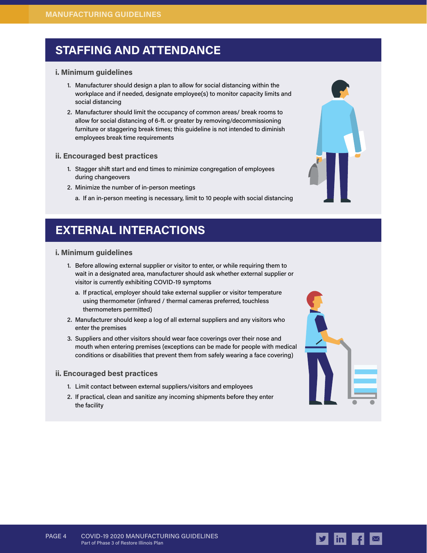# **STAFFING AND ATTENDANCE**

### **i. Minimum guidelines**

- 1. Manufacturer should design a plan to allow for social distancing within the workplace and if needed, designate employee(s) to monitor capacity limits and social distancing
- 2. Manufacturer should limit the occupancy of common areas/ break rooms to allow for social distancing of 6-ft. or greater by removing/decommissioning furniture or staggering break times; this guideline is not intended to diminish employees break time requirements

# **ii. Encouraged best practices**

- 1. Stagger shift start and end times to minimize congregation of employees during changeovers
- 2. Minimize the number of in-person meetings
	- a. If an in-person meeting is necessary, limit to 10 people with social distancing

# **EXTERNAL INTERACTIONS**

# **i. Minimum guidelines**

- 1. Before allowing external supplier or visitor to enter, or while requiring them to wait in a designated area, manufacturer should ask whether external supplier or visitor is currently exhibiting COVID-19 symptoms
	- a. If practical, employer should take external supplier or visitor temperature using thermometer (infrared / thermal cameras preferred, touchless thermometers permitted)
- 2. Manufacturer should keep a log of all external suppliers and any visitors who enter the premises
- 3. Suppliers and other visitors should wear face coverings over their nose and mouth when entering premises (exceptions can be made for people with medical conditions or disabilities that prevent them from safely wearing a face covering)

### **ii. Encouraged best practices**

- 1. Limit contact between external suppliers/visitors and employees
- 2. If practical, clean and sanitize any incoming shipments before they enter the facility